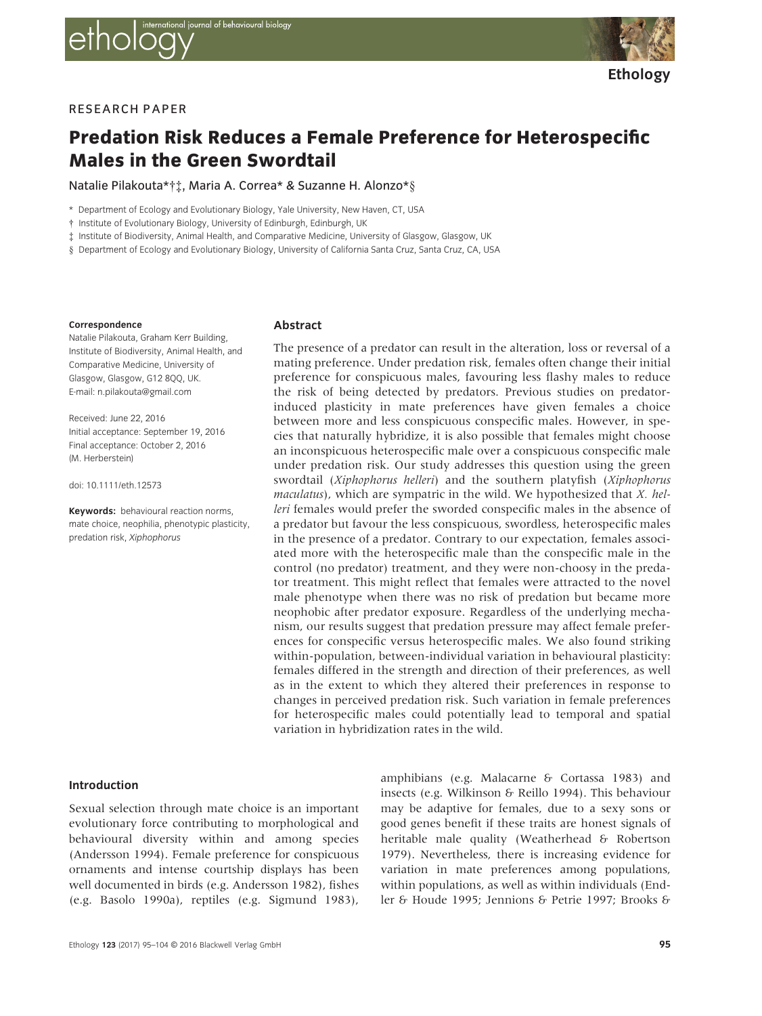



# RESEARCH PAPER

# Predation Risk Reduces a Female Preference for Heterospecific Males in the Green Swordtail

Natalie Pilakouta\*†‡, Maria A. Correa\* & Suzanne H. Alonzo\*§

- \* Department of Ecology and Evolutionary Biology, Yale University, New Haven, CT, USA
- † Institute of Evolutionary Biology, University of Edinburgh, Edinburgh, UK
- ‡ Institute of Biodiversity, Animal Health, and Comparative Medicine, University of Glasgow, Glasgow, UK
- § Department of Ecology and Evolutionary Biology, University of California Santa Cruz, Santa Cruz, CA, USA

#### Correspondence

Natalie Pilakouta, Graham Kerr Building, Institute of Biodiversity, Animal Health, and Comparative Medicine, University of Glasgow, Glasgow, G12 8QQ, UK. E-mail: n.pilakouta@gmail.com

Received: June 22, 2016 Initial acceptance: September 19, 2016 Final acceptance: October 2, 2016 (M. Herberstein)

doi: 10.1111/eth.12573

Keywords: behavioural reaction norms, mate choice, neophilia, phenotypic plasticity, predation risk, Xiphophorus

## Abstract

The presence of a predator can result in the alteration, loss or reversal of a mating preference. Under predation risk, females often change their initial preference for conspicuous males, favouring less flashy males to reduce the risk of being detected by predators. Previous studies on predatorinduced plasticity in mate preferences have given females a choice between more and less conspicuous conspecific males. However, in species that naturally hybridize, it is also possible that females might choose an inconspicuous heterospecific male over a conspicuous conspecific male under predation risk. Our study addresses this question using the green swordtail (Xiphophorus helleri) and the southern platyfish (Xiphophorus maculatus), which are sympatric in the wild. We hypothesized that X. helleri females would prefer the sworded conspecific males in the absence of a predator but favour the less conspicuous, swordless, heterospecific males in the presence of a predator. Contrary to our expectation, females associated more with the heterospecific male than the conspecific male in the control (no predator) treatment, and they were non-choosy in the predator treatment. This might reflect that females were attracted to the novel male phenotype when there was no risk of predation but became more neophobic after predator exposure. Regardless of the underlying mechanism, our results suggest that predation pressure may affect female preferences for conspecific versus heterospecific males. We also found striking within-population, between-individual variation in behavioural plasticity: females differed in the strength and direction of their preferences, as well as in the extent to which they altered their preferences in response to changes in perceived predation risk. Such variation in female preferences for heterospecific males could potentially lead to temporal and spatial variation in hybridization rates in the wild.

## Introduction

Sexual selection through mate choice is an important evolutionary force contributing to morphological and behavioural diversity within and among species (Andersson 1994). Female preference for conspicuous ornaments and intense courtship displays has been well documented in birds (e.g. Andersson 1982), fishes (e.g. Basolo 1990a), reptiles (e.g. Sigmund 1983), amphibians (e.g. Malacarne & Cortassa 1983) and insects (e.g. Wilkinson & Reillo 1994). This behaviour may be adaptive for females, due to a sexy sons or good genes benefit if these traits are honest signals of heritable male quality (Weatherhead & Robertson 1979). Nevertheless, there is increasing evidence for variation in mate preferences among populations, within populations, as well as within individuals (Endler & Houde 1995; Jennions & Petrie 1997; Brooks &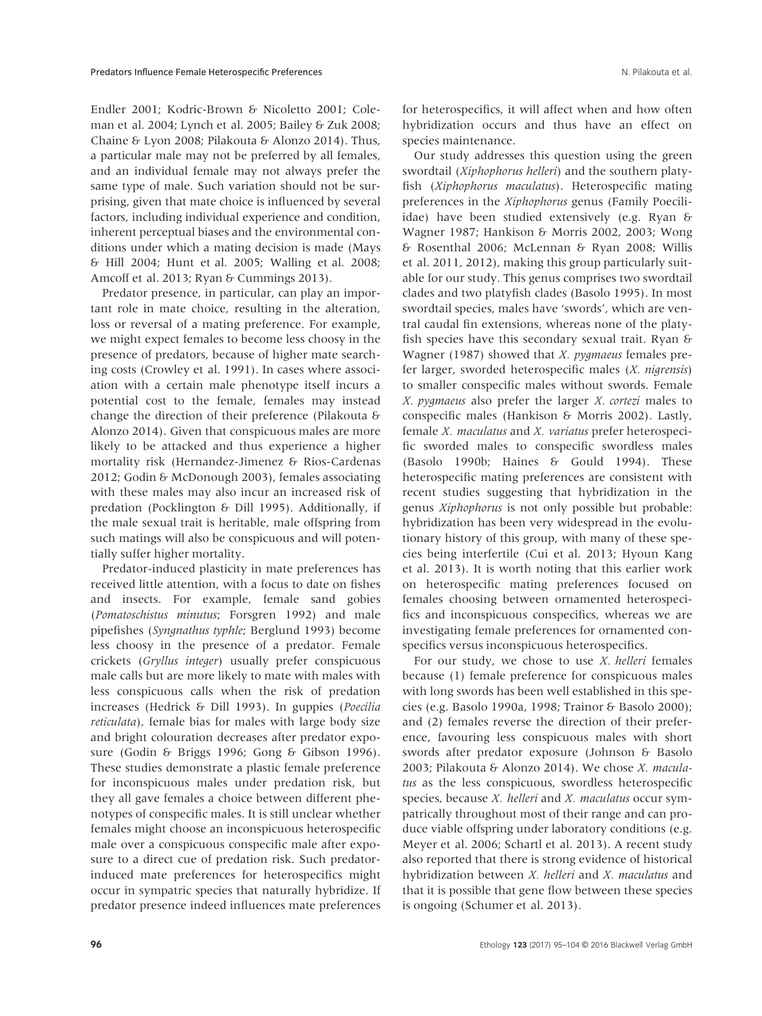Endler 2001; Kodric-Brown & Nicoletto 2001; Coleman et al. 2004; Lynch et al. 2005; Bailey & Zuk 2008; Chaine & Lyon 2008; Pilakouta & Alonzo 2014). Thus, a particular male may not be preferred by all females, and an individual female may not always prefer the same type of male. Such variation should not be surprising, given that mate choice is influenced by several factors, including individual experience and condition, inherent perceptual biases and the environmental conditions under which a mating decision is made (Mays & Hill 2004; Hunt et al. 2005; Walling et al. 2008; Amcoff et al. 2013; Ryan & Cummings 2013).

Predator presence, in particular, can play an important role in mate choice, resulting in the alteration, loss or reversal of a mating preference. For example, we might expect females to become less choosy in the presence of predators, because of higher mate searching costs (Crowley et al. 1991). In cases where association with a certain male phenotype itself incurs a potential cost to the female, females may instead change the direction of their preference (Pilakouta & Alonzo 2014). Given that conspicuous males are more likely to be attacked and thus experience a higher mortality risk (Hernandez-Jimenez & Rios-Cardenas 2012; Godin & McDonough 2003), females associating with these males may also incur an increased risk of predation (Pocklington & Dill 1995). Additionally, if the male sexual trait is heritable, male offspring from such matings will also be conspicuous and will potentially suffer higher mortality.

Predator-induced plasticity in mate preferences has received little attention, with a focus to date on fishes and insects. For example, female sand gobies (Pomatoschistus minutus; Forsgren 1992) and male pipefishes (Syngnathus typhle; Berglund 1993) become less choosy in the presence of a predator. Female crickets (Gryllus integer) usually prefer conspicuous male calls but are more likely to mate with males with less conspicuous calls when the risk of predation increases (Hedrick & Dill 1993). In guppies (Poecilia reticulata), female bias for males with large body size and bright colouration decreases after predator exposure (Godin & Briggs 1996; Gong & Gibson 1996). These studies demonstrate a plastic female preference for inconspicuous males under predation risk, but they all gave females a choice between different phenotypes of conspecific males. It is still unclear whether females might choose an inconspicuous heterospecific male over a conspicuous conspecific male after exposure to a direct cue of predation risk. Such predatorinduced mate preferences for heterospecifics might occur in sympatric species that naturally hybridize. If predator presence indeed influences mate preferences

for heterospecifics, it will affect when and how often hybridization occurs and thus have an effect on species maintenance.

Our study addresses this question using the green swordtail (Xiphophorus helleri) and the southern platyfish (Xiphophorus maculatus). Heterospecific mating preferences in the Xiphophorus genus (Family Poeciliidae) have been studied extensively (e.g. Ryan & Wagner 1987; Hankison & Morris 2002, 2003; Wong & Rosenthal 2006; McLennan & Ryan 2008; Willis et al. 2011, 2012), making this group particularly suitable for our study. This genus comprises two swordtail clades and two platyfish clades (Basolo 1995). In most swordtail species, males have 'swords', which are ventral caudal fin extensions, whereas none of the platyfish species have this secondary sexual trait. Ryan & Wagner (1987) showed that *X. pygmaeus* females prefer larger, sworded heterospecific males (X. nigrensis) to smaller conspecific males without swords. Female X. pygmaeus also prefer the larger X. cortezi males to conspecific males (Hankison & Morris 2002). Lastly, female X. maculatus and X. variatus prefer heterospecific sworded males to conspecific swordless males (Basolo 1990b; Haines & Gould 1994). These heterospecific mating preferences are consistent with recent studies suggesting that hybridization in the genus Xiphophorus is not only possible but probable: hybridization has been very widespread in the evolutionary history of this group, with many of these species being interfertile (Cui et al. 2013; Hyoun Kang et al. 2013). It is worth noting that this earlier work on heterospecific mating preferences focused on females choosing between ornamented heterospecifics and inconspicuous conspecifics, whereas we are investigating female preferences for ornamented conspecifics versus inconspicuous heterospecifics.

For our study, we chose to use  $X$ . helleri females because (1) female preference for conspicuous males with long swords has been well established in this species (e.g. Basolo 1990a, 1998; Trainor & Basolo 2000); and (2) females reverse the direction of their preference, favouring less conspicuous males with short swords after predator exposure (Johnson & Basolo 2003; Pilakouta & Alonzo 2014). We chose X. maculatus as the less conspicuous, swordless heterospecific species, because X. helleri and X. maculatus occur sympatrically throughout most of their range and can produce viable offspring under laboratory conditions (e.g. Meyer et al. 2006; Schartl et al. 2013). A recent study also reported that there is strong evidence of historical hybridization between X. helleri and X. maculatus and that it is possible that gene flow between these species is ongoing (Schumer et al. 2013).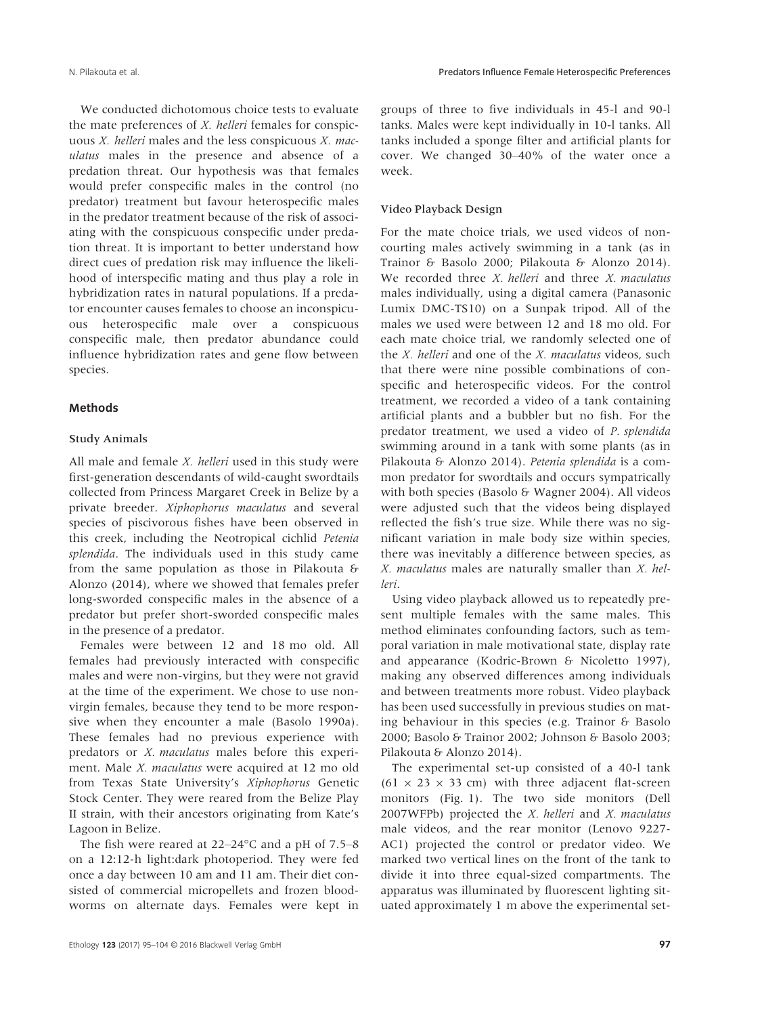We conducted dichotomous choice tests to evaluate the mate preferences of X. helleri females for conspicuous  $X$ . *helleri* males and the less conspicuous  $X$ . *mac*ulatus males in the presence and absence of a predation threat. Our hypothesis was that females would prefer conspecific males in the control (no predator) treatment but favour heterospecific males in the predator treatment because of the risk of associating with the conspicuous conspecific under predation threat. It is important to better understand how direct cues of predation risk may influence the likelihood of interspecific mating and thus play a role in hybridization rates in natural populations. If a predator encounter causes females to choose an inconspicuous heterospecific male over a conspicuous conspecific male, then predator abundance could influence hybridization rates and gene flow between species.

## Methods

## Study Animals

All male and female *X. helleri* used in this study were first-generation descendants of wild-caught swordtails collected from Princess Margaret Creek in Belize by a private breeder. Xiphophorus maculatus and several species of piscivorous fishes have been observed in this creek, including the Neotropical cichlid Petenia splendida. The individuals used in this study came from the same population as those in Pilakouta & Alonzo (2014), where we showed that females prefer long-sworded conspecific males in the absence of a predator but prefer short-sworded conspecific males in the presence of a predator.

Females were between 12 and 18 mo old. All females had previously interacted with conspecific males and were non-virgins, but they were not gravid at the time of the experiment. We chose to use nonvirgin females, because they tend to be more responsive when they encounter a male (Basolo 1990a). These females had no previous experience with predators or X. maculatus males before this experiment. Male *X. maculatus* were acquired at 12 mo old from Texas State University's Xiphophorus Genetic Stock Center. They were reared from the Belize Play II strain, with their ancestors originating from Kate's Lagoon in Belize.

The fish were reared at 22–24°C and a pH of 7.5–8 on a 12:12-h light:dark photoperiod. They were fed once a day between 10 am and 11 am. Their diet consisted of commercial micropellets and frozen bloodworms on alternate days. Females were kept in

groups of three to five individuals in 45-l and 90-l tanks. Males were kept individually in 10-l tanks. All tanks included a sponge filter and artificial plants for cover. We changed 30–40% of the water once a week.

## Video Playback Design

For the mate choice trials, we used videos of noncourting males actively swimming in a tank (as in Trainor & Basolo 2000; Pilakouta & Alonzo 2014). We recorded three *X. helleri* and three *X. maculatus* males individually, using a digital camera (Panasonic Lumix DMC-TS10) on a Sunpak tripod. All of the males we used were between 12 and 18 mo old. For each mate choice trial, we randomly selected one of the  $X$ . helleri and one of the  $X$ . maculatus videos, such that there were nine possible combinations of conspecific and heterospecific videos. For the control treatment, we recorded a video of a tank containing artificial plants and a bubbler but no fish. For the predator treatment, we used a video of P. splendida swimming around in a tank with some plants (as in Pilakouta & Alonzo 2014). Petenia splendida is a common predator for swordtails and occurs sympatrically with both species (Basolo & Wagner 2004). All videos were adjusted such that the videos being displayed reflected the fish's true size. While there was no significant variation in male body size within species, there was inevitably a difference between species, as X. maculatus males are naturally smaller than X. helleri.

Using video playback allowed us to repeatedly present multiple females with the same males. This method eliminates confounding factors, such as temporal variation in male motivational state, display rate and appearance (Kodric-Brown & Nicoletto 1997), making any observed differences among individuals and between treatments more robust. Video playback has been used successfully in previous studies on mating behaviour in this species (e.g. Trainor & Basolo 2000; Basolo & Trainor 2002; Johnson & Basolo 2003; Pilakouta & Alonzo 2014).

The experimental set-up consisted of a 40-l tank  $(61 \times 23 \times 33$  cm) with three adjacent flat-screen monitors (Fig. 1). The two side monitors (Dell 2007WFPb) projected the  $X$ . helleri and  $X$ . maculatus male videos, and the rear monitor (Lenovo 9227- AC1) projected the control or predator video. We marked two vertical lines on the front of the tank to divide it into three equal-sized compartments. The apparatus was illuminated by fluorescent lighting situated approximately 1 m above the experimental set-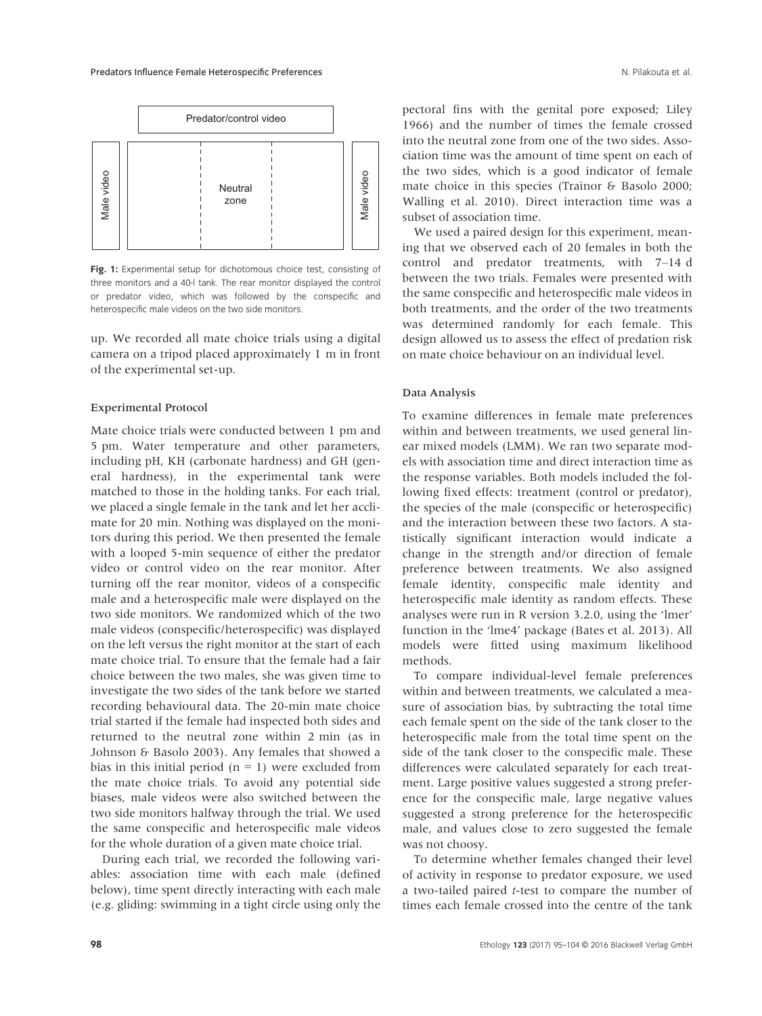

Fig. 1: Experimental setup for dichotomous choice test, consisting of three monitors and a 40-l tank. The rear monitor displayed the control or predator video, which was followed by the conspecific and heterospecific male videos on the two side monitors.

up. We recorded all mate choice trials using a digital camera on a tripod placed approximately 1 m in front of the experimental set-up.

#### Experimental Protocol

Mate choice trials were conducted between 1 pm and 5 pm. Water temperature and other parameters, including pH, KH (carbonate hardness) and GH (general hardness), in the experimental tank were matched to those in the holding tanks. For each trial, we placed a single female in the tank and let her acclimate for 20 min. Nothing was displayed on the monitors during this period. We then presented the female with a looped 5-min sequence of either the predator video or control video on the rear monitor. After turning off the rear monitor, videos of a conspecific male and a heterospecific male were displayed on the two side monitors. We randomized which of the two male videos (conspecific/heterospecific) was displayed on the left versus the right monitor at the start of each mate choice trial. To ensure that the female had a fair choice between the two males, she was given time to investigate the two sides of the tank before we started recording behavioural data. The 20-min mate choice trial started if the female had inspected both sides and returned to the neutral zone within 2 min (as in Johnson & Basolo 2003). Any females that showed a bias in this initial period  $(n = 1)$  were excluded from the mate choice trials. To avoid any potential side biases, male videos were also switched between the two side monitors halfway through the trial. We used the same conspecific and heterospecific male videos for the whole duration of a given mate choice trial.

During each trial, we recorded the following variables: association time with each male (defined below), time spent directly interacting with each male (e.g. gliding: swimming in a tight circle using only the

pectoral fins with the genital pore exposed; Liley 1966) and the number of times the female crossed into the neutral zone from one of the two sides. Association time was the amount of time spent on each of the two sides, which is a good indicator of female mate choice in this species (Trainor & Basolo 2000; Walling et al. 2010). Direct interaction time was a subset of association time.

We used a paired design for this experiment, meaning that we observed each of 20 females in both the control and predator treatments, with 7–14 d between the two trials. Females were presented with the same conspecific and heterospecific male videos in both treatments, and the order of the two treatments was determined randomly for each female. This design allowed us to assess the effect of predation risk on mate choice behaviour on an individual level.

#### Data Analysis

To examine differences in female mate preferences within and between treatments, we used general linear mixed models (LMM). We ran two separate models with association time and direct interaction time as the response variables. Both models included the following fixed effects: treatment (control or predator), the species of the male (conspecific or heterospecific) and the interaction between these two factors. A statistically significant interaction would indicate a change in the strength and/or direction of female preference between treatments. We also assigned female identity, conspecific male identity and heterospecific male identity as random effects. These analyses were run in R version 3.2.0, using the 'lmer' function in the 'lme4' package (Bates et al. 2013). All models were fitted using maximum likelihood methods.

To compare individual-level female preferences within and between treatments, we calculated a measure of association bias, by subtracting the total time each female spent on the side of the tank closer to the heterospecific male from the total time spent on the side of the tank closer to the conspecific male. These differences were calculated separately for each treatment. Large positive values suggested a strong preference for the conspecific male, large negative values suggested a strong preference for the heterospecific male, and values close to zero suggested the female was not choosy.

To determine whether females changed their level of activity in response to predator exposure, we used a two-tailed paired t-test to compare the number of times each female crossed into the centre of the tank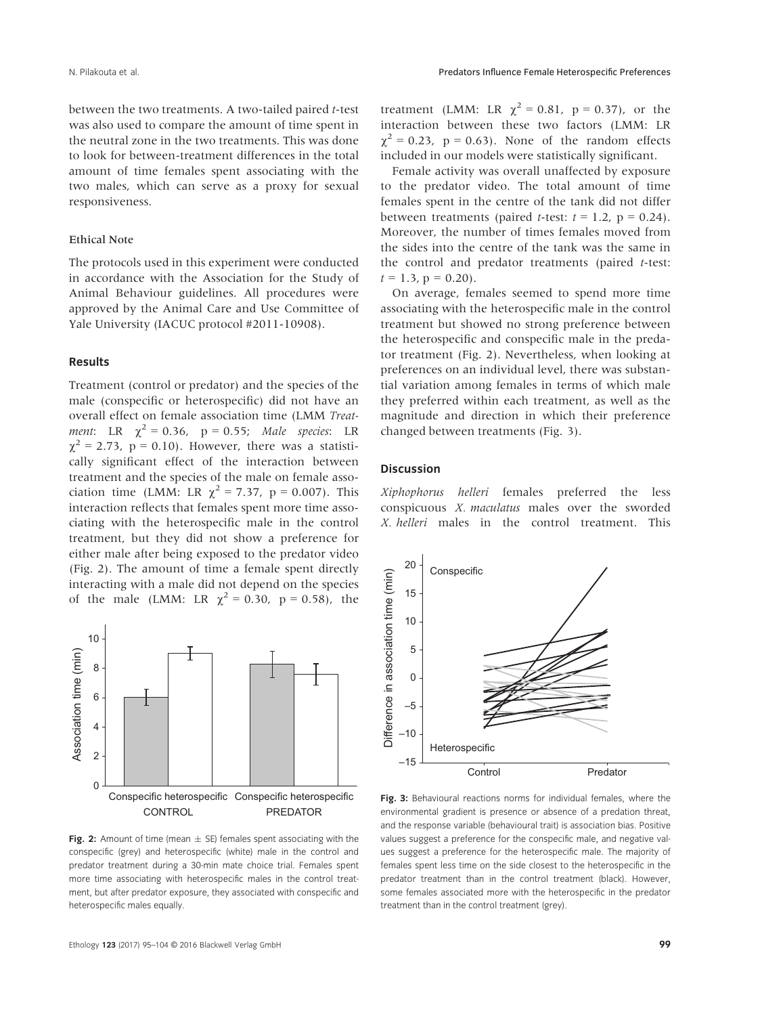between the two treatments. A two-tailed paired t-test was also used to compare the amount of time spent in the neutral zone in the two treatments. This was done to look for between-treatment differences in the total amount of time females spent associating with the two males, which can serve as a proxy for sexual responsiveness.

#### Ethical Note

The protocols used in this experiment were conducted in accordance with the Association for the Study of Animal Behaviour guidelines. All procedures were approved by the Animal Care and Use Committee of Yale University (IACUC protocol #2011-10908).

### Results

Treatment (control or predator) and the species of the male (conspecific or heterospecific) did not have an overall effect on female association time (LMM Treatment: LR  $\chi^2 = 0.36$ , p = 0.55; Male species: LR  $\chi^2$  = 2.73, p = 0.10). However, there was a statistically significant effect of the interaction between treatment and the species of the male on female association time (LMM: LR  $\chi^2 = 7.37$ , p = 0.007). This interaction reflects that females spent more time associating with the heterospecific male in the control treatment, but they did not show a preference for either male after being exposed to the predator video (Fig. 2). The amount of time a female spent directly interacting with a male did not depend on the species of the male (LMM: LR  $\chi^2 = 0.30$ , p = 0.58), the



Fig. 2: Amount of time (mean  $\pm$  SE) females spent associating with the conspecific (grey) and heterospecific (white) male in the control and predator treatment during a 30-min mate choice trial. Females spent more time associating with heterospecific males in the control treatment, but after predator exposure, they associated with conspecific and heterospecific males equally.

treatment (LMM: LR  $\chi^2 = 0.81$ , p = 0.37), or the interaction between these two factors (LMM: LR  $\gamma^2$  = 0.23, p = 0.63). None of the random effects included in our models were statistically significant.

Female activity was overall unaffected by exposure to the predator video. The total amount of time females spent in the centre of the tank did not differ between treatments (paired *t*-test:  $t = 1.2$ ,  $p = 0.24$ ). Moreover, the number of times females moved from the sides into the centre of the tank was the same in the control and predator treatments (paired t-test:  $t = 1.3$ ,  $p = 0.20$ ).

On average, females seemed to spend more time associating with the heterospecific male in the control treatment but showed no strong preference between the heterospecific and conspecific male in the predator treatment (Fig. 2). Nevertheless, when looking at preferences on an individual level, there was substantial variation among females in terms of which male they preferred within each treatment, as well as the magnitude and direction in which their preference changed between treatments (Fig. 3).

## Discussion

Xiphophorus helleri females preferred the less conspicuous X. maculatus males over the sworded X. helleri males in the control treatment. This



Fig. 3: Behavioural reactions norms for individual females, where the environmental gradient is presence or absence of a predation threat, and the response variable (behavioural trait) is association bias. Positive values suggest a preference for the conspecific male, and negative values suggest a preference for the heterospecific male. The majority of females spent less time on the side closest to the heterospecific in the predator treatment than in the control treatment (black). However, some females associated more with the heterospecific in the predator treatment than in the control treatment (grey).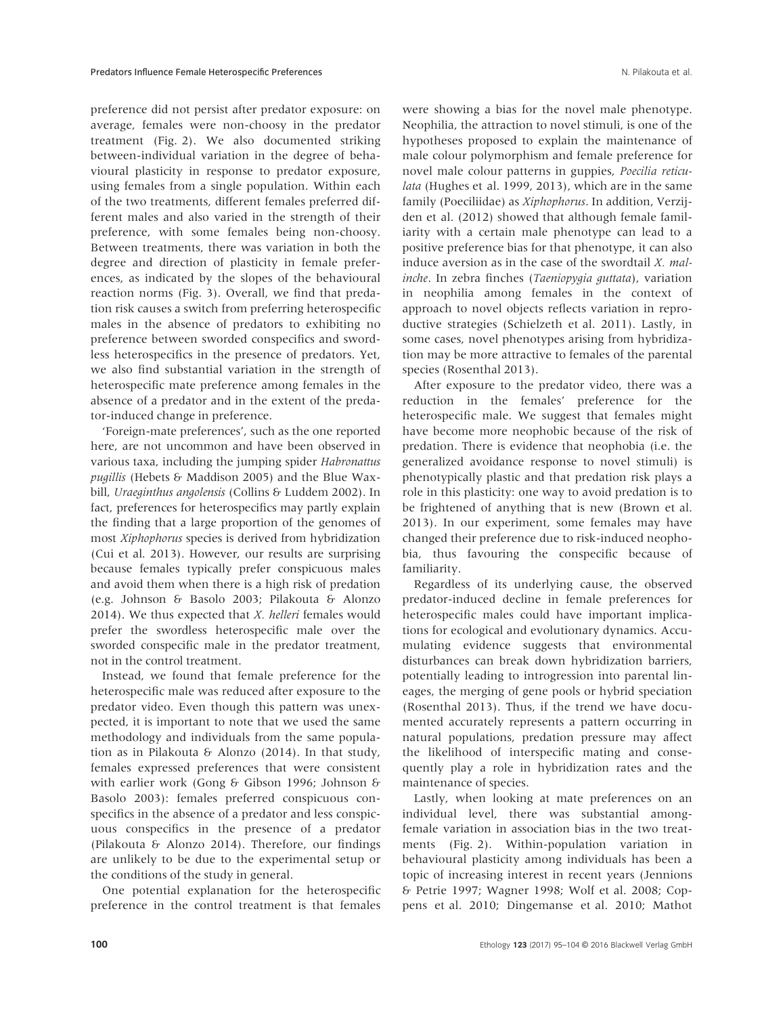preference did not persist after predator exposure: on average, females were non-choosy in the predator treatment (Fig. 2). We also documented striking between-individual variation in the degree of behavioural plasticity in response to predator exposure, using females from a single population. Within each of the two treatments, different females preferred different males and also varied in the strength of their preference, with some females being non-choosy. Between treatments, there was variation in both the degree and direction of plasticity in female preferences, as indicated by the slopes of the behavioural reaction norms (Fig. 3). Overall, we find that predation risk causes a switch from preferring heterospecific males in the absence of predators to exhibiting no preference between sworded conspecifics and swordless heterospecifics in the presence of predators. Yet, we also find substantial variation in the strength of heterospecific mate preference among females in the absence of a predator and in the extent of the predator-induced change in preference.

'Foreign-mate preferences', such as the one reported here, are not uncommon and have been observed in various taxa, including the jumping spider Habronattus pugillis (Hebets & Maddison 2005) and the Blue Waxbill, Uraeginthus angolensis (Collins & Luddem 2002). In fact, preferences for heterospecifics may partly explain the finding that a large proportion of the genomes of most Xiphophorus species is derived from hybridization (Cui et al. 2013). However, our results are surprising because females typically prefer conspicuous males and avoid them when there is a high risk of predation (e.g. Johnson & Basolo 2003; Pilakouta & Alonzo 2014). We thus expected that X. helleri females would prefer the swordless heterospecific male over the sworded conspecific male in the predator treatment, not in the control treatment.

Instead, we found that female preference for the heterospecific male was reduced after exposure to the predator video. Even though this pattern was unexpected, it is important to note that we used the same methodology and individuals from the same population as in Pilakouta & Alonzo (2014). In that study, females expressed preferences that were consistent with earlier work (Gong & Gibson 1996; Johnson & Basolo 2003): females preferred conspicuous conspecifics in the absence of a predator and less conspicuous conspecifics in the presence of a predator (Pilakouta & Alonzo 2014). Therefore, our findings are unlikely to be due to the experimental setup or the conditions of the study in general.

One potential explanation for the heterospecific preference in the control treatment is that females

were showing a bias for the novel male phenotype. Neophilia, the attraction to novel stimuli, is one of the hypotheses proposed to explain the maintenance of male colour polymorphism and female preference for novel male colour patterns in guppies, Poecilia reticulata (Hughes et al. 1999, 2013), which are in the same family (Poeciliidae) as Xiphophorus. In addition, Verzijden et al. (2012) showed that although female familiarity with a certain male phenotype can lead to a positive preference bias for that phenotype, it can also induce aversion as in the case of the swordtail *X. mal*inche. In zebra finches (Taeniopygia guttata), variation in neophilia among females in the context of approach to novel objects reflects variation in reproductive strategies (Schielzeth et al. 2011). Lastly, in some cases, novel phenotypes arising from hybridization may be more attractive to females of the parental species (Rosenthal 2013).

After exposure to the predator video, there was a reduction in the females' preference for the heterospecific male. We suggest that females might have become more neophobic because of the risk of predation. There is evidence that neophobia (i.e. the generalized avoidance response to novel stimuli) is phenotypically plastic and that predation risk plays a role in this plasticity: one way to avoid predation is to be frightened of anything that is new (Brown et al. 2013). In our experiment, some females may have changed their preference due to risk-induced neophobia, thus favouring the conspecific because of familiarity.

Regardless of its underlying cause, the observed predator-induced decline in female preferences for heterospecific males could have important implications for ecological and evolutionary dynamics. Accumulating evidence suggests that environmental disturbances can break down hybridization barriers, potentially leading to introgression into parental lineages, the merging of gene pools or hybrid speciation (Rosenthal 2013). Thus, if the trend we have documented accurately represents a pattern occurring in natural populations, predation pressure may affect the likelihood of interspecific mating and consequently play a role in hybridization rates and the maintenance of species.

Lastly, when looking at mate preferences on an individual level, there was substantial amongfemale variation in association bias in the two treatments (Fig. 2). Within-population variation in behavioural plasticity among individuals has been a topic of increasing interest in recent years (Jennions & Petrie 1997; Wagner 1998; Wolf et al. 2008; Coppens et al. 2010; Dingemanse et al. 2010; Mathot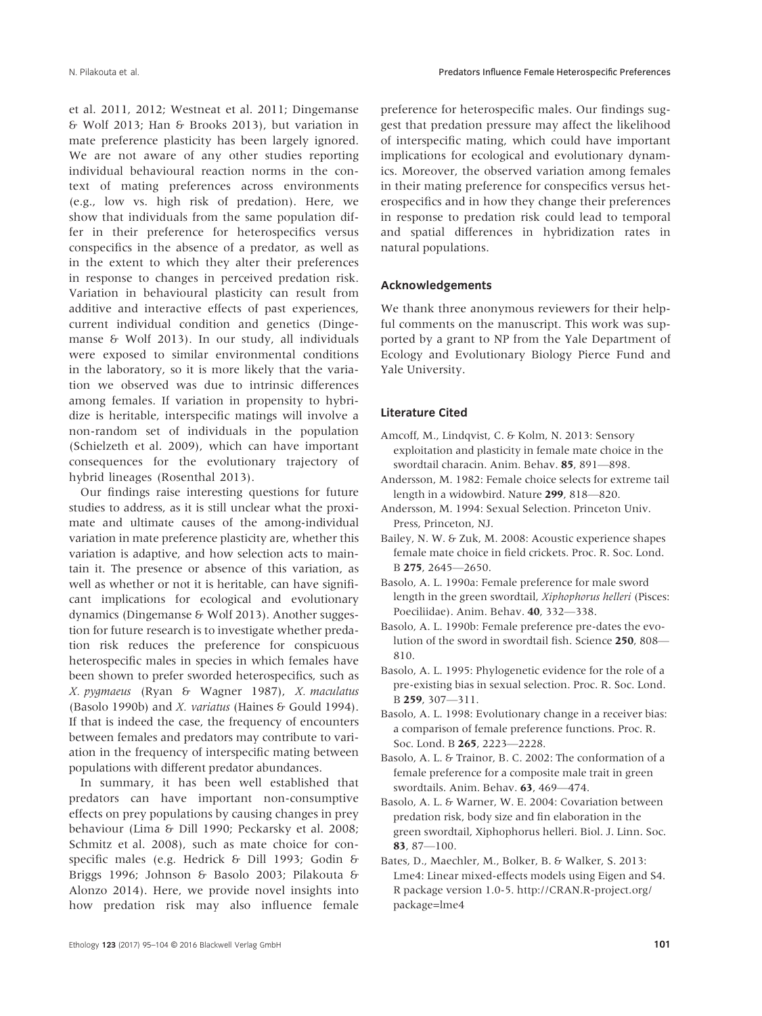et al. 2011, 2012; Westneat et al. 2011; Dingemanse & Wolf 2013; Han & Brooks 2013), but variation in mate preference plasticity has been largely ignored. We are not aware of any other studies reporting individual behavioural reaction norms in the context of mating preferences across environments (e.g., low vs. high risk of predation). Here, we show that individuals from the same population differ in their preference for heterospecifics versus conspecifics in the absence of a predator, as well as in the extent to which they alter their preferences in response to changes in perceived predation risk. Variation in behavioural plasticity can result from additive and interactive effects of past experiences, current individual condition and genetics (Dingemanse & Wolf 2013). In our study, all individuals were exposed to similar environmental conditions in the laboratory, so it is more likely that the variation we observed was due to intrinsic differences among females. If variation in propensity to hybridize is heritable, interspecific matings will involve a non-random set of individuals in the population (Schielzeth et al. 2009), which can have important consequences for the evolutionary trajectory of hybrid lineages (Rosenthal 2013).

Our findings raise interesting questions for future studies to address, as it is still unclear what the proximate and ultimate causes of the among-individual variation in mate preference plasticity are, whether this variation is adaptive, and how selection acts to maintain it. The presence or absence of this variation, as well as whether or not it is heritable, can have significant implications for ecological and evolutionary dynamics (Dingemanse & Wolf 2013). Another suggestion for future research is to investigate whether predation risk reduces the preference for conspicuous heterospecific males in species in which females have been shown to prefer sworded heterospecifics, such as X. pygmaeus (Ryan & Wagner 1987), X. maculatus (Basolo 1990b) and *X. variatus* (Haines & Gould 1994). If that is indeed the case, the frequency of encounters between females and predators may contribute to variation in the frequency of interspecific mating between populations with different predator abundances.

In summary, it has been well established that predators can have important non-consumptive effects on prey populations by causing changes in prey behaviour (Lima & Dill 1990; Peckarsky et al. 2008; Schmitz et al. 2008), such as mate choice for conspecific males (e.g. Hedrick & Dill 1993; Godin & Briggs 1996; Johnson & Basolo 2003; Pilakouta & Alonzo 2014). Here, we provide novel insights into how predation risk may also influence female preference for heterospecific males. Our findings suggest that predation pressure may affect the likelihood of interspecific mating, which could have important implications for ecological and evolutionary dynamics. Moreover, the observed variation among females in their mating preference for conspecifics versus heterospecifics and in how they change their preferences in response to predation risk could lead to temporal and spatial differences in hybridization rates in natural populations.

## Acknowledgements

We thank three anonymous reviewers for their helpful comments on the manuscript. This work was supported by a grant to NP from the Yale Department of Ecology and Evolutionary Biology Pierce Fund and Yale University.

## Literature Cited

- Amcoff, M., Lindqvist, C. & Kolm, N. 2013: Sensory exploitation and plasticity in female mate choice in the swordtail characin. Anim. Behav. 85, 891—898.
- Andersson, M. 1982: Female choice selects for extreme tail length in a widowbird. Nature 299, 818—820.
- Andersson, M. 1994: Sexual Selection. Princeton Univ. Press, Princeton, NJ.
- Bailey, N. W. & Zuk, M. 2008: Acoustic experience shapes female mate choice in field crickets. Proc. R. Soc. Lond. B 275, 2645—2650.
- Basolo, A. L. 1990a: Female preference for male sword length in the green swordtail, Xiphophorus helleri (Pisces: Poeciliidae). Anim. Behav. 40, 332—338.
- Basolo, A. L. 1990b: Female preference pre-dates the evolution of the sword in swordtail fish. Science 250, 808— 810.
- Basolo, A. L. 1995: Phylogenetic evidence for the role of a pre-existing bias in sexual selection. Proc. R. Soc. Lond. B 259, 307—311.
- Basolo, A. L. 1998: Evolutionary change in a receiver bias: a comparison of female preference functions. Proc. R. Soc. Lond. B 265, 2223—2228.
- Basolo, A. L. & Trainor, B. C. 2002: The conformation of a female preference for a composite male trait in green swordtails. Anim. Behav. 63, 469—474.
- Basolo, A. L. & Warner, W. E. 2004: Covariation between predation risk, body size and fin elaboration in the green swordtail, Xiphophorus helleri. Biol. J. Linn. Soc. 83, 87—100.
- Bates, D., Maechler, M., Bolker, B. & Walker, S. 2013: Lme4: Linear mixed-effects models using Eigen and S4. R package version 1.0-5. [http://CRAN.R-project.org/](http://CRAN.R-project.org/package=lme4) [package=lme4](http://CRAN.R-project.org/package=lme4)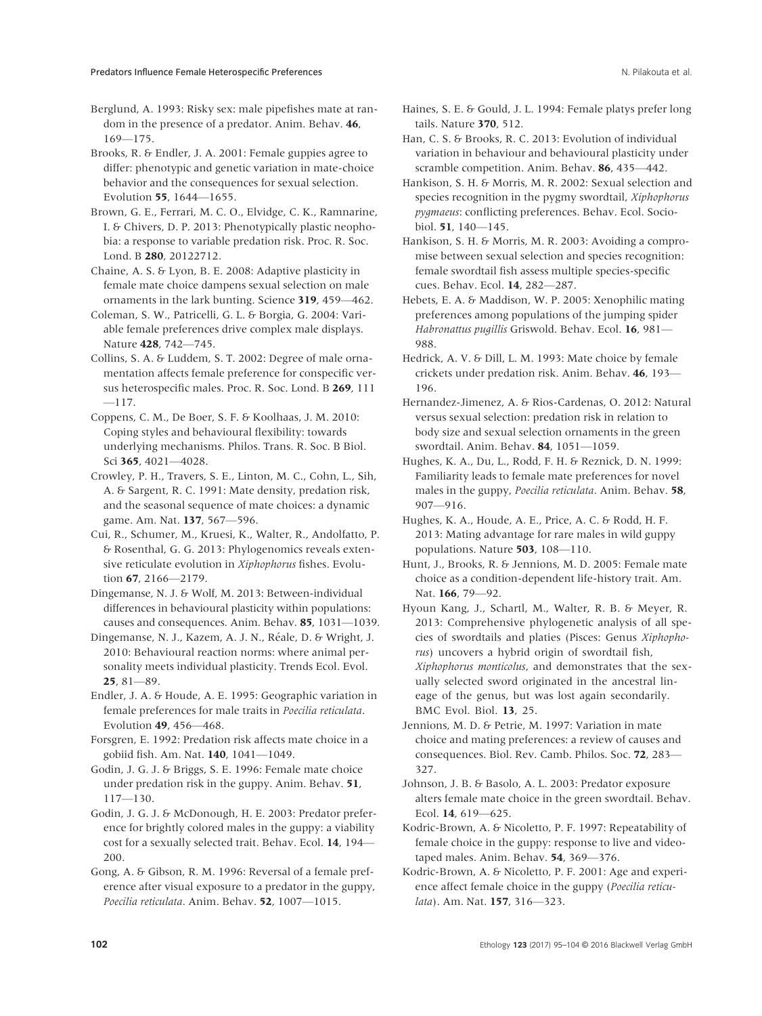Berglund, A. 1993: Risky sex: male pipefishes mate at random in the presence of a predator. Anim. Behav. 46, 169—175.

Brooks, R. & Endler, J. A. 2001: Female guppies agree to differ: phenotypic and genetic variation in mate-choice behavior and the consequences for sexual selection. Evolution 55, 1644—1655.

Brown, G. E., Ferrari, M. C. O., Elvidge, C. K., Ramnarine, I. & Chivers, D. P. 2013: Phenotypically plastic neophobia: a response to variable predation risk. Proc. R. Soc. Lond. B 280, 20122712.

Chaine, A. S. & Lyon, B. E. 2008: Adaptive plasticity in female mate choice dampens sexual selection on male ornaments in the lark bunting. Science 319, 459—462.

Coleman, S. W., Patricelli, G. L. & Borgia, G. 2004: Variable female preferences drive complex male displays. Nature 428, 742—745.

Collins, S. A. & Luddem, S. T. 2002: Degree of male ornamentation affects female preference for conspecific versus heterospecific males. Proc. R. Soc. Lond. B 269, 111 —117.

Coppens, C. M., De Boer, S. F. & Koolhaas, J. M. 2010: Coping styles and behavioural flexibility: towards underlying mechanisms. Philos. Trans. R. Soc. B Biol. Sci 365, 4021—4028.

Crowley, P. H., Travers, S. E., Linton, M. C., Cohn, L., Sih, A. & Sargent, R. C. 1991: Mate density, predation risk, and the seasonal sequence of mate choices: a dynamic game. Am. Nat. 137, 567—596.

Cui, R., Schumer, M., Kruesi, K., Walter, R., Andolfatto, P. & Rosenthal, G. G. 2013: Phylogenomics reveals extensive reticulate evolution in Xiphophorus fishes. Evolution 67, 2166—2179.

Dingemanse, N. J. & Wolf, M. 2013: Between-individual differences in behavioural plasticity within populations: causes and consequences. Anim. Behav. 85, 1031—1039.

Dingemanse, N. J., Kazem, A. J. N., Reale, D. & Wright, J. 2010: Behavioural reaction norms: where animal personality meets individual plasticity. Trends Ecol. Evol.  $25.81 - 89.$ 

Endler, J. A. & Houde, A. E. 1995: Geographic variation in female preferences for male traits in Poecilia reticulata. Evolution 49, 456—468.

Forsgren, E. 1992: Predation risk affects mate choice in a gobiid fish. Am. Nat. 140, 1041—1049.

Godin, J. G. J. & Briggs, S. E. 1996: Female mate choice under predation risk in the guppy. Anim. Behav. 51, 117—130.

Godin, J. G. J. & McDonough, H. E. 2003: Predator preference for brightly colored males in the guppy: a viability cost for a sexually selected trait. Behav. Ecol. 14, 194— 200.

Gong, A. & Gibson, R. M. 1996: Reversal of a female preference after visual exposure to a predator in the guppy, Poecilia reticulata. Anim. Behav. 52, 1007—1015.

Haines, S. E. & Gould, J. L. 1994: Female platys prefer long tails. Nature 370, 512.

Han, C. S. & Brooks, R. C. 2013: Evolution of individual variation in behaviour and behavioural plasticity under scramble competition. Anim. Behav. 86, 435—442.

Hankison, S. H. & Morris, M. R. 2002: Sexual selection and species recognition in the pygmy swordtail, Xiphophorus pygmaeus: conflicting preferences. Behav. Ecol. Sociobiol. 51, 140—145.

Hankison, S. H. & Morris, M. R. 2003: Avoiding a compromise between sexual selection and species recognition: female swordtail fish assess multiple species-specific cues. Behav. Ecol. 14, 282—287.

Hebets, E. A. & Maddison, W. P. 2005: Xenophilic mating preferences among populations of the jumping spider Habronattus pugillis Griswold. Behav. Ecol. 16, 981— 988.

Hedrick, A. V. & Dill, L. M. 1993: Mate choice by female crickets under predation risk. Anim. Behav. 46, 193— 196.

Hernandez-Jimenez, A. & Rios-Cardenas, O. 2012: Natural versus sexual selection: predation risk in relation to body size and sexual selection ornaments in the green swordtail. Anim. Behav. 84, 1051—1059.

Hughes, K. A., Du, L., Rodd, F. H. & Reznick, D. N. 1999: Familiarity leads to female mate preferences for novel males in the guppy, Poecilia reticulata. Anim. Behav. 58, 907—916.

Hughes, K. A., Houde, A. E., Price, A. C. & Rodd, H. F. 2013: Mating advantage for rare males in wild guppy populations. Nature 503, 108—110.

Hunt, J., Brooks, R. & Jennions, M. D. 2005: Female mate choice as a condition-dependent life-history trait. Am. Nat. 166, 79—92.

Hyoun Kang, J., Schartl, M., Walter, R. B. & Meyer, R. 2013: Comprehensive phylogenetic analysis of all species of swordtails and platies (Pisces: Genus Xiphophorus) uncovers a hybrid origin of swordtail fish, Xiphophorus monticolus, and demonstrates that the sexually selected sword originated in the ancestral lineage of the genus, but was lost again secondarily. BMC Evol. Biol. 13, 25.

Jennions, M. D. & Petrie, M. 1997: Variation in mate choice and mating preferences: a review of causes and consequences. Biol. Rev. Camb. Philos. Soc. 72, 283— 327.

Johnson, J. B. & Basolo, A. L. 2003: Predator exposure alters female mate choice in the green swordtail. Behav. Ecol. 14, 619—625.

Kodric-Brown, A. & Nicoletto, P. F. 1997: Repeatability of female choice in the guppy: response to live and videotaped males. Anim. Behav. 54, 369—376.

Kodric-Brown, A. & Nicoletto, P. F. 2001: Age and experience affect female choice in the guppy (Poecilia reticulata). Am. Nat. 157, 316—323.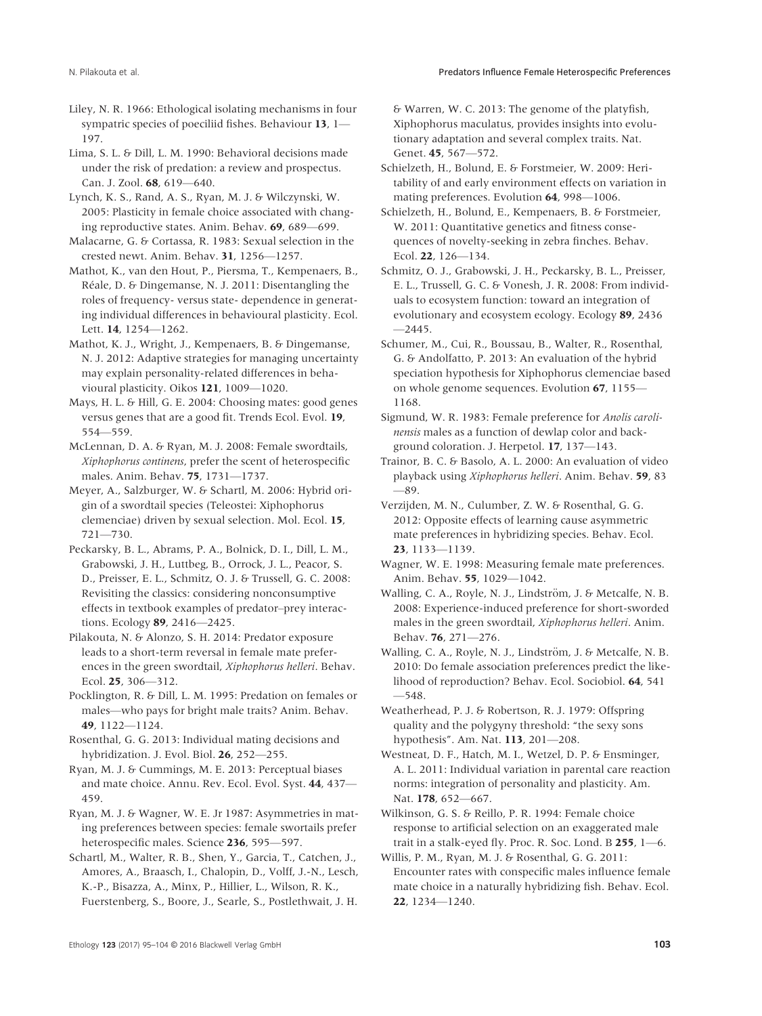- Liley, N. R. 1966: Ethological isolating mechanisms in four sympatric species of poeciliid fishes. Behaviour 13, 1-197.
- Lima, S. L. & Dill, L. M. 1990: Behavioral decisions made under the risk of predation: a review and prospectus. Can. J. Zool. 68, 619—640.
- Lynch, K. S., Rand, A. S., Ryan, M. J. & Wilczynski, W. 2005: Plasticity in female choice associated with changing reproductive states. Anim. Behav. 69, 689—699.
- Malacarne, G. & Cortassa, R. 1983: Sexual selection in the crested newt. Anim. Behav. 31, 1256—1257.
- Mathot, K., van den Hout, P., Piersma, T., Kempenaers, B., Réale, D. & Dingemanse, N. J. 2011: Disentangling the roles of frequency- versus state- dependence in generating individual differences in behavioural plasticity. Ecol. Lett. 14, 1254—1262.
- Mathot, K. J., Wright, J., Kempenaers, B. & Dingemanse, N. J. 2012: Adaptive strategies for managing uncertainty may explain personality-related differences in behavioural plasticity. Oikos 121, 1009—1020.
- Mays, H. L. & Hill, G. E. 2004: Choosing mates: good genes versus genes that are a good fit. Trends Ecol. Evol. 19, 554—559.
- McLennan, D. A. & Ryan, M. J. 2008: Female swordtails, Xiphophorus continens, prefer the scent of heterospecific males. Anim. Behav. 75, 1731—1737.
- Meyer, A., Salzburger, W. & Schartl, M. 2006: Hybrid origin of a swordtail species (Teleostei: Xiphophorus clemenciae) driven by sexual selection. Mol. Ecol. 15, 721—730.
- Peckarsky, B. L., Abrams, P. A., Bolnick, D. I., Dill, L. M., Grabowski, J. H., Luttbeg, B., Orrock, J. L., Peacor, S. D., Preisser, E. L., Schmitz, O. J. & Trussell, G. C. 2008: Revisiting the classics: considering nonconsumptive effects in textbook examples of predator–prey interactions. Ecology 89, 2416—2425.
- Pilakouta, N. & Alonzo, S. H. 2014: Predator exposure leads to a short-term reversal in female mate preferences in the green swordtail, Xiphophorus helleri. Behav. Ecol. 25, 306—312.
- Pocklington, R. & Dill, L. M. 1995: Predation on females or males—who pays for bright male traits? Anim. Behav. 49, 1122—1124.
- Rosenthal, G. G. 2013: Individual mating decisions and hybridization. J. Evol. Biol. 26, 252—255.
- Ryan, M. J. & Cummings, M. E. 2013: Perceptual biases and mate choice. Annu. Rev. Ecol. Evol. Syst. 44, 437— 459.
- Ryan, M. J. & Wagner, W. E. Jr 1987: Asymmetries in mating preferences between species: female swortails prefer heterospecific males. Science 236, 595-597.
- Schartl, M., Walter, R. B., Shen, Y., Garcia, T., Catchen, J., Amores, A., Braasch, I., Chalopin, D., Volff, J.-N., Lesch, K.-P., Bisazza, A., Minx, P., Hillier, L., Wilson, R. K., Fuerstenberg, S., Boore, J., Searle, S., Postlethwait, J. H.

& Warren, W. C. 2013: The genome of the platyfish, Xiphophorus maculatus, provides insights into evolutionary adaptation and several complex traits. Nat. Genet. 45, 567—572.

- Schielzeth, H., Bolund, E. & Forstmeier, W. 2009: Heritability of and early environment effects on variation in mating preferences. Evolution 64, 998—1006.
- Schielzeth, H., Bolund, E., Kempenaers, B. & Forstmeier, W. 2011: Quantitative genetics and fitness consequences of novelty-seeking in zebra finches. Behav. Ecol. 22, 126—134.
- Schmitz, O. J., Grabowski, J. H., Peckarsky, B. L., Preisser, E. L., Trussell, G. C. & Vonesh, J. R. 2008: From individuals to ecosystem function: toward an integration of evolutionary and ecosystem ecology. Ecology 89, 2436  $-2445$
- Schumer, M., Cui, R., Boussau, B., Walter, R., Rosenthal, G. & Andolfatto, P. 2013: An evaluation of the hybrid speciation hypothesis for Xiphophorus clemenciae based on whole genome sequences. Evolution 67, 1155— 1168.
- Sigmund, W. R. 1983: Female preference for Anolis carolinensis males as a function of dewlap color and background coloration. J. Herpetol. 17, 137—143.
- Trainor, B. C. & Basolo, A. L. 2000: An evaluation of video playback using Xiphophorus helleri. Anim. Behav. 59, 83 —89.
- Verzijden, M. N., Culumber, Z. W. & Rosenthal, G. G. 2012: Opposite effects of learning cause asymmetric mate preferences in hybridizing species. Behav. Ecol. 23, 1133—1139.
- Wagner, W. E. 1998: Measuring female mate preferences. Anim. Behav. 55, 1029—1042.
- Walling, C. A., Royle, N. J., Lindström, J. & Metcalfe, N. B. 2008: Experience-induced preference for short-sworded males in the green swordtail, Xiphophorus helleri. Anim. Behav. 76, 271—276.
- Walling, C. A., Royle, N. J., Lindström, J. & Metcalfe, N. B. 2010: Do female association preferences predict the likelihood of reproduction? Behav. Ecol. Sociobiol. 64, 541 —548.
- Weatherhead, P. J. & Robertson, R. J. 1979: Offspring quality and the polygyny threshold: "the sexy sons hypothesis". Am. Nat. 113, 201—208.
- Westneat, D. F., Hatch, M. I., Wetzel, D. P. & Ensminger, A. L. 2011: Individual variation in parental care reaction norms: integration of personality and plasticity. Am. Nat. 178, 652—667.
- Wilkinson, G. S. & Reillo, P. R. 1994: Female choice response to artificial selection on an exaggerated male trait in a stalk-eyed fly. Proc. R. Soc. Lond. B 255, 1—6.
- Willis, P. M., Ryan, M. J. & Rosenthal, G. G. 2011: Encounter rates with conspecific males influence female mate choice in a naturally hybridizing fish. Behav. Ecol. 22, 1234—1240.